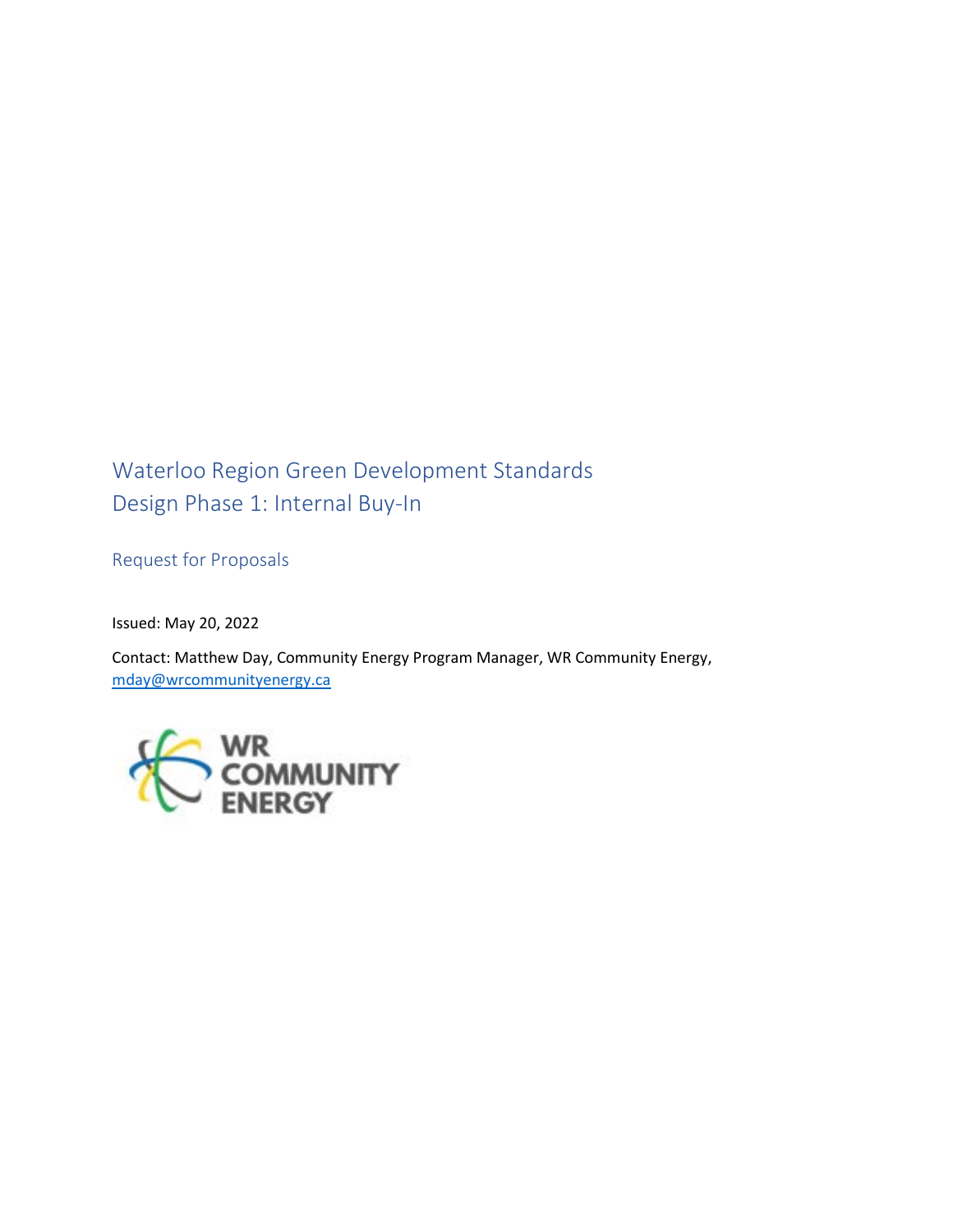# Waterloo Region Green Development Standards Design Phase 1: Internal Buy-In

Request for Proposals

Issued: May 20, 2022

Contact: Matthew Day, Community Energy Program Manager, WR Community Energy, mday@wrcommunityenergy.ca

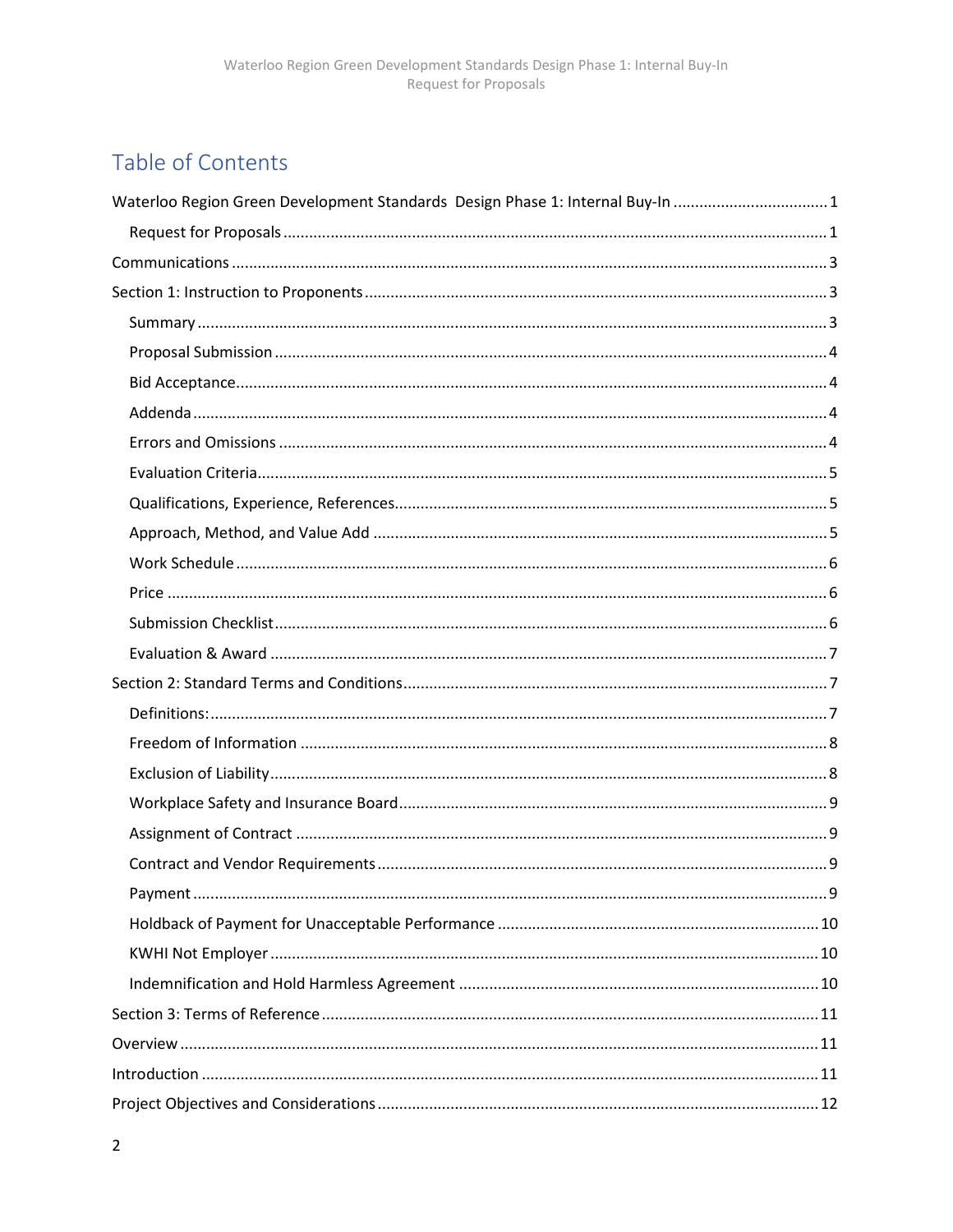# Table of Contents

| Waterloo Region Green Development Standards Design Phase 1: Internal Buy-In 1 |  |
|-------------------------------------------------------------------------------|--|
|                                                                               |  |
|                                                                               |  |
|                                                                               |  |
|                                                                               |  |
|                                                                               |  |
|                                                                               |  |
|                                                                               |  |
|                                                                               |  |
|                                                                               |  |
|                                                                               |  |
|                                                                               |  |
|                                                                               |  |
|                                                                               |  |
|                                                                               |  |
|                                                                               |  |
|                                                                               |  |
|                                                                               |  |
|                                                                               |  |
|                                                                               |  |
|                                                                               |  |
|                                                                               |  |
|                                                                               |  |
|                                                                               |  |
|                                                                               |  |
|                                                                               |  |
|                                                                               |  |
|                                                                               |  |
|                                                                               |  |
|                                                                               |  |
|                                                                               |  |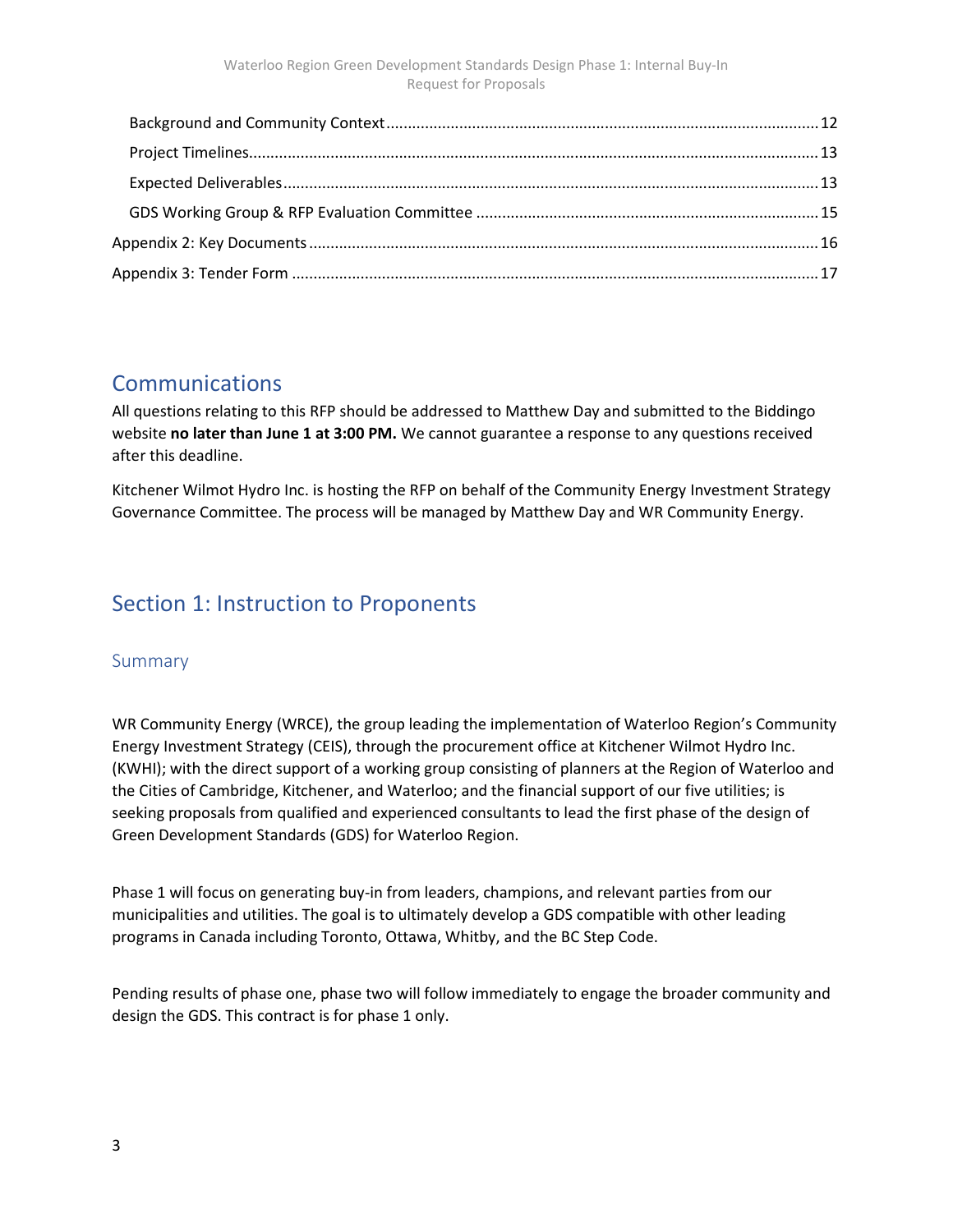## Communications

All questions relating to this RFP should be addressed to Matthew Day and submitted to the Biddingo website no later than June 1 at 3:00 PM. We cannot guarantee a response to any questions received after this deadline.

Kitchener Wilmot Hydro Inc. is hosting the RFP on behalf of the Community Energy Investment Strategy Governance Committee. The process will be managed by Matthew Day and WR Community Energy.

## Section 1: Instruction to Proponents

#### Summary

WR Community Energy (WRCE), the group leading the implementation of Waterloo Region's Community Energy Investment Strategy (CEIS), through the procurement office at Kitchener Wilmot Hydro Inc. (KWHI); with the direct support of a working group consisting of planners at the Region of Waterloo and the Cities of Cambridge, Kitchener, and Waterloo; and the financial support of our five utilities; is seeking proposals from qualified and experienced consultants to lead the first phase of the design of Green Development Standards (GDS) for Waterloo Region.

Phase 1 will focus on generating buy-in from leaders, champions, and relevant parties from our municipalities and utilities. The goal is to ultimately develop a GDS compatible with other leading programs in Canada including Toronto, Ottawa, Whitby, and the BC Step Code.

Pending results of phase one, phase two will follow immediately to engage the broader community and design the GDS. This contract is for phase 1 only.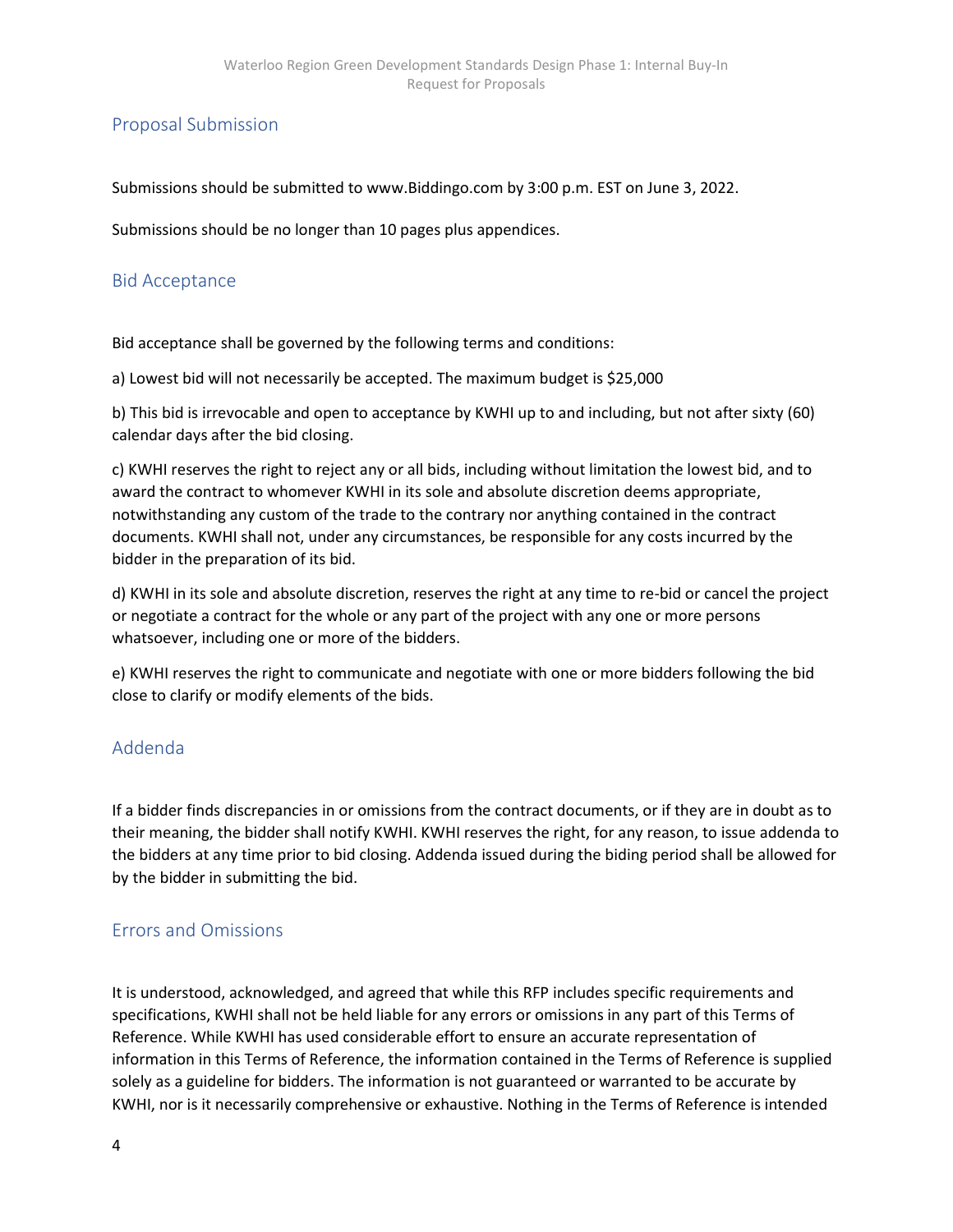## Proposal Submission

Submissions should be submitted to www.Biddingo.com by 3:00 p.m. EST on June 3, 2022.

Submissions should be no longer than 10 pages plus appendices.

### Bid Acceptance

Bid acceptance shall be governed by the following terms and conditions:

a) Lowest bid will not necessarily be accepted. The maximum budget is \$25,000

b) This bid is irrevocable and open to acceptance by KWHI up to and including, but not after sixty (60) calendar days after the bid closing.

c) KWHI reserves the right to reject any or all bids, including without limitation the lowest bid, and to award the contract to whomever KWHI in its sole and absolute discretion deems appropriate, notwithstanding any custom of the trade to the contrary nor anything contained in the contract documents. KWHI shall not, under any circumstances, be responsible for any costs incurred by the bidder in the preparation of its bid.

d) KWHI in its sole and absolute discretion, reserves the right at any time to re-bid or cancel the project or negotiate a contract for the whole or any part of the project with any one or more persons whatsoever, including one or more of the bidders.

e) KWHI reserves the right to communicate and negotiate with one or more bidders following the bid close to clarify or modify elements of the bids.

### Addenda

If a bidder finds discrepancies in or omissions from the contract documents, or if they are in doubt as to their meaning, the bidder shall notify KWHI. KWHI reserves the right, for any reason, to issue addenda to the bidders at any time prior to bid closing. Addenda issued during the biding period shall be allowed for by the bidder in submitting the bid.

#### Errors and Omissions

It is understood, acknowledged, and agreed that while this RFP includes specific requirements and specifications, KWHI shall not be held liable for any errors or omissions in any part of this Terms of Reference. While KWHI has used considerable effort to ensure an accurate representation of information in this Terms of Reference, the information contained in the Terms of Reference is supplied solely as a guideline for bidders. The information is not guaranteed or warranted to be accurate by KWHI, nor is it necessarily comprehensive or exhaustive. Nothing in the Terms of Reference is intended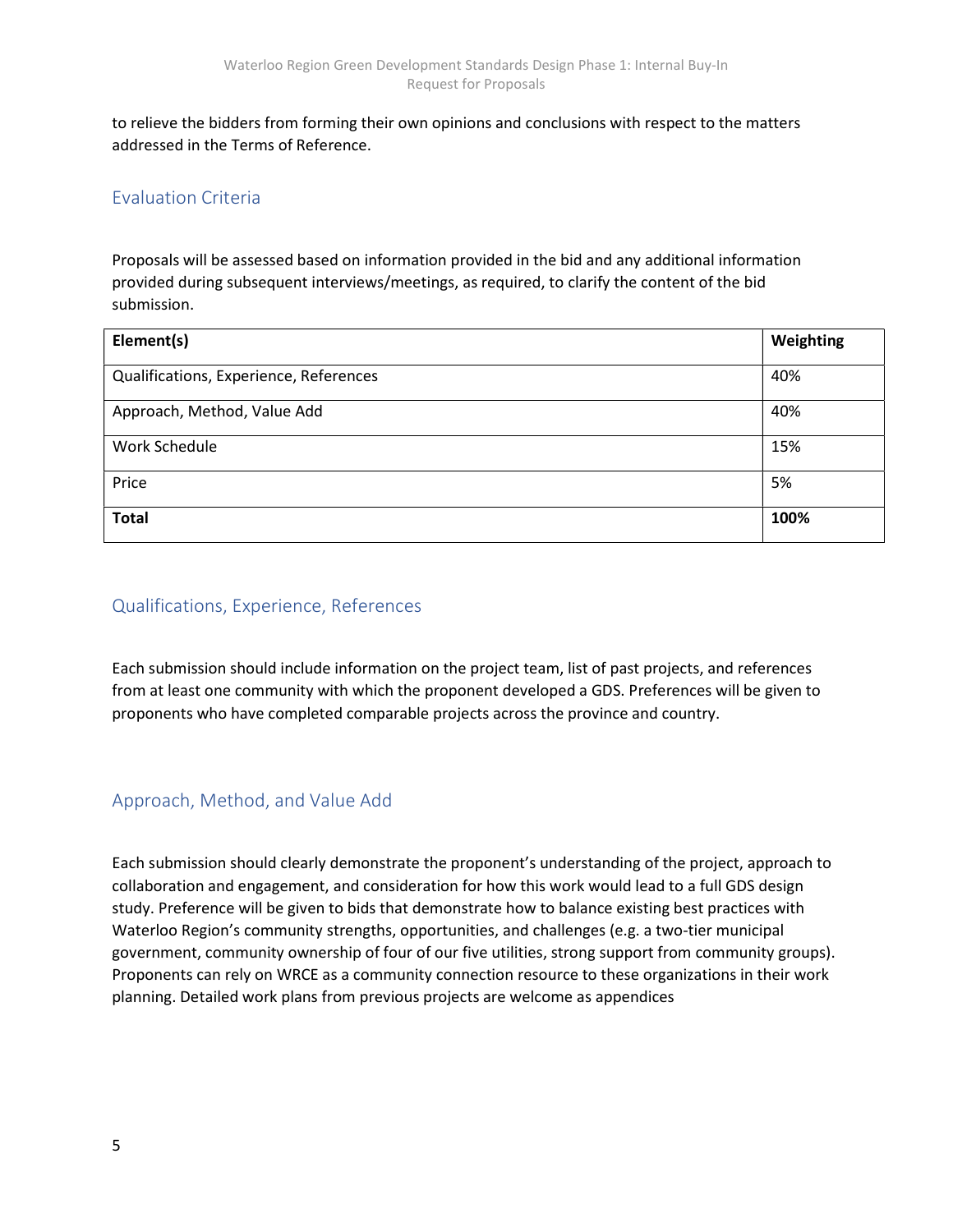to relieve the bidders from forming their own opinions and conclusions with respect to the matters addressed in the Terms of Reference.

## Evaluation Criteria

Proposals will be assessed based on information provided in the bid and any additional information provided during subsequent interviews/meetings, as required, to clarify the content of the bid submission.

| Element(s)                             | Weighting |
|----------------------------------------|-----------|
| Qualifications, Experience, References | 40%       |
| Approach, Method, Value Add            | 40%       |
| Work Schedule                          | 15%       |
| Price                                  | 5%        |
| <b>Total</b>                           | 100%      |

## Qualifications, Experience, References

Each submission should include information on the project team, list of past projects, and references from at least one community with which the proponent developed a GDS. Preferences will be given to proponents who have completed comparable projects across the province and country.

### Approach, Method, and Value Add

Each submission should clearly demonstrate the proponent's understanding of the project, approach to collaboration and engagement, and consideration for how this work would lead to a full GDS design study. Preference will be given to bids that demonstrate how to balance existing best practices with Waterloo Region's community strengths, opportunities, and challenges (e.g. a two-tier municipal government, community ownership of four of our five utilities, strong support from community groups). Proponents can rely on WRCE as a community connection resource to these organizations in their work planning. Detailed work plans from previous projects are welcome as appendices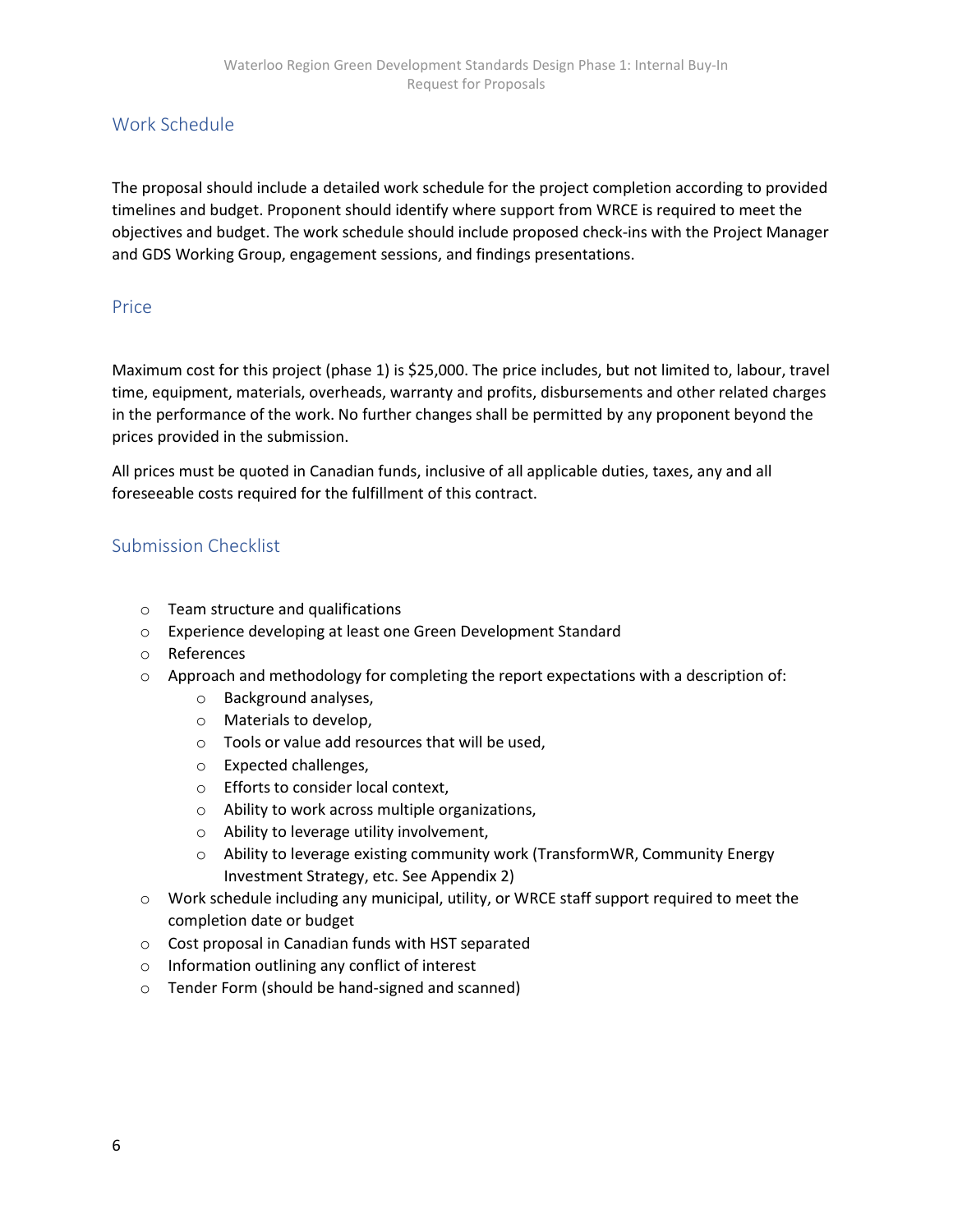## Work Schedule

The proposal should include a detailed work schedule for the project completion according to provided timelines and budget. Proponent should identify where support from WRCE is required to meet the objectives and budget. The work schedule should include proposed check-ins with the Project Manager and GDS Working Group, engagement sessions, and findings presentations.

#### Price

Maximum cost for this project (phase 1) is \$25,000. The price includes, but not limited to, labour, travel time, equipment, materials, overheads, warranty and profits, disbursements and other related charges in the performance of the work. No further changes shall be permitted by any proponent beyond the prices provided in the submission.

All prices must be quoted in Canadian funds, inclusive of all applicable duties, taxes, any and all foreseeable costs required for the fulfillment of this contract.

#### Submission Checklist

- o Team structure and qualifications
- o Experience developing at least one Green Development Standard
- o References
- $\circ$  Approach and methodology for completing the report expectations with a description of:
	- o Background analyses,
	- o Materials to develop,
	- o Tools or value add resources that will be used,
	- o Expected challenges,
	- o Efforts to consider local context,
	- o Ability to work across multiple organizations,
	- o Ability to leverage utility involvement,
	- o Ability to leverage existing community work (TransformWR, Community Energy Investment Strategy, etc. See Appendix 2)
- o Work schedule including any municipal, utility, or WRCE staff support required to meet the completion date or budget
- o Cost proposal in Canadian funds with HST separated
- o Information outlining any conflict of interest
- o Tender Form (should be hand-signed and scanned)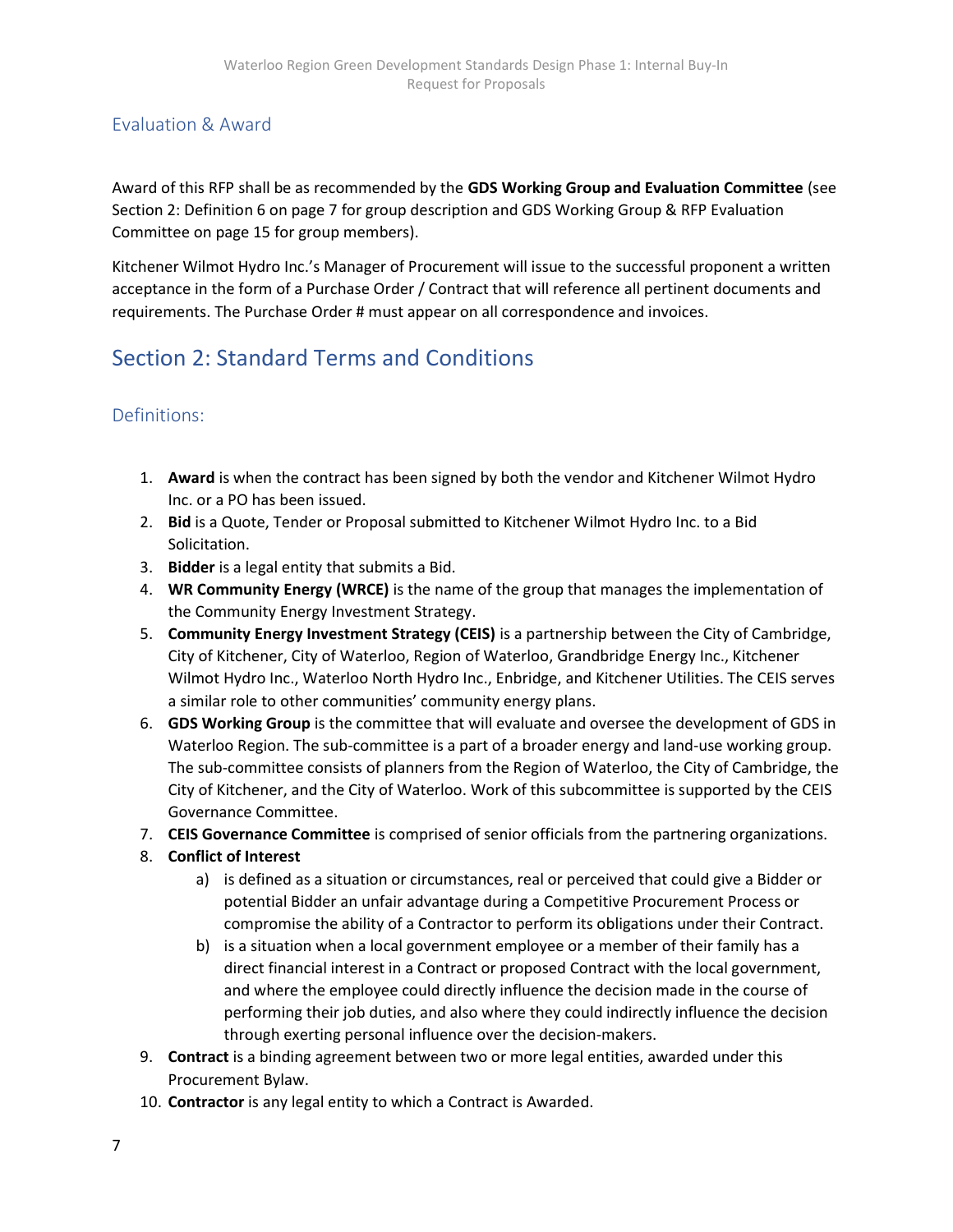## Evaluation & Award

Award of this RFP shall be as recommended by the GDS Working Group and Evaluation Committee (see Section 2: Definition 6 on page 7 for group description and GDS Working Group & RFP Evaluation Committee on page 15 for group members).

Kitchener Wilmot Hydro Inc.'s Manager of Procurement will issue to the successful proponent a written acceptance in the form of a Purchase Order / Contract that will reference all pertinent documents and requirements. The Purchase Order # must appear on all correspondence and invoices.

# Section 2: Standard Terms and Conditions

## Definitions:

- 1. Award is when the contract has been signed by both the vendor and Kitchener Wilmot Hydro Inc. or a PO has been issued.
- 2. Bid is a Quote, Tender or Proposal submitted to Kitchener Wilmot Hydro Inc. to a Bid Solicitation.
- 3. Bidder is a legal entity that submits a Bid.
- 4. WR Community Energy (WRCE) is the name of the group that manages the implementation of the Community Energy Investment Strategy.
- 5. Community Energy Investment Strategy (CEIS) is a partnership between the City of Cambridge, City of Kitchener, City of Waterloo, Region of Waterloo, Grandbridge Energy Inc., Kitchener Wilmot Hydro Inc., Waterloo North Hydro Inc., Enbridge, and Kitchener Utilities. The CEIS serves a similar role to other communities' community energy plans.
- 6. GDS Working Group is the committee that will evaluate and oversee the development of GDS in Waterloo Region. The sub-committee is a part of a broader energy and land-use working group. The sub-committee consists of planners from the Region of Waterloo, the City of Cambridge, the City of Kitchener, and the City of Waterloo. Work of this subcommittee is supported by the CEIS Governance Committee.
- 7. CEIS Governance Committee is comprised of senior officials from the partnering organizations.
- 8. Conflict of Interest
	- a) is defined as a situation or circumstances, real or perceived that could give a Bidder or potential Bidder an unfair advantage during a Competitive Procurement Process or compromise the ability of a Contractor to perform its obligations under their Contract.
	- b) is a situation when a local government employee or a member of their family has a direct financial interest in a Contract or proposed Contract with the local government, and where the employee could directly influence the decision made in the course of performing their job duties, and also where they could indirectly influence the decision through exerting personal influence over the decision-makers.
- 9. Contract is a binding agreement between two or more legal entities, awarded under this Procurement Bylaw.
- 10. Contractor is any legal entity to which a Contract is Awarded.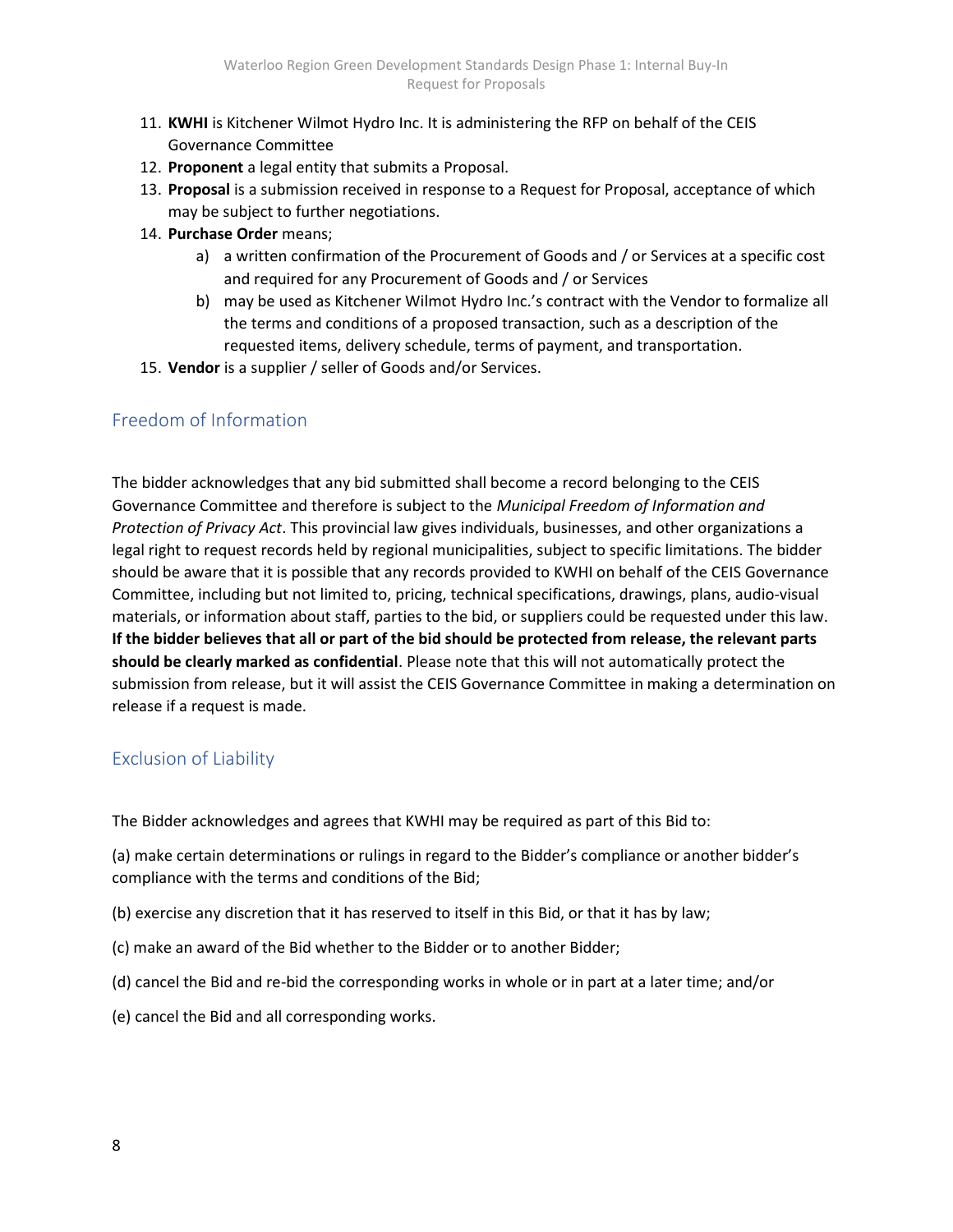- 11. KWHI is Kitchener Wilmot Hydro Inc. It is administering the RFP on behalf of the CEIS Governance Committee
- 12. Proponent a legal entity that submits a Proposal.
- 13. Proposal is a submission received in response to a Request for Proposal, acceptance of which may be subject to further negotiations.
- 14. Purchase Order means;
	- a) a written confirmation of the Procurement of Goods and / or Services at a specific cost and required for any Procurement of Goods and / or Services
	- b) may be used as Kitchener Wilmot Hydro Inc.'s contract with the Vendor to formalize all the terms and conditions of a proposed transaction, such as a description of the requested items, delivery schedule, terms of payment, and transportation.
- 15. Vendor is a supplier / seller of Goods and/or Services.

## Freedom of Information

The bidder acknowledges that any bid submitted shall become a record belonging to the CEIS Governance Committee and therefore is subject to the Municipal Freedom of Information and Protection of Privacy Act. This provincial law gives individuals, businesses, and other organizations a legal right to request records held by regional municipalities, subject to specific limitations. The bidder should be aware that it is possible that any records provided to KWHI on behalf of the CEIS Governance Committee, including but not limited to, pricing, technical specifications, drawings, plans, audio-visual materials, or information about staff, parties to the bid, or suppliers could be requested under this law. If the bidder believes that all or part of the bid should be protected from release, the relevant parts should be clearly marked as confidential. Please note that this will not automatically protect the submission from release, but it will assist the CEIS Governance Committee in making a determination on release if a request is made.

### Exclusion of Liability

The Bidder acknowledges and agrees that KWHI may be required as part of this Bid to:

(a) make certain determinations or rulings in regard to the Bidder's compliance or another bidder's compliance with the terms and conditions of the Bid;

- (b) exercise any discretion that it has reserved to itself in this Bid, or that it has by law;
- (c) make an award of the Bid whether to the Bidder or to another Bidder;
- (d) cancel the Bid and re-bid the corresponding works in whole or in part at a later time; and/or
- (e) cancel the Bid and all corresponding works.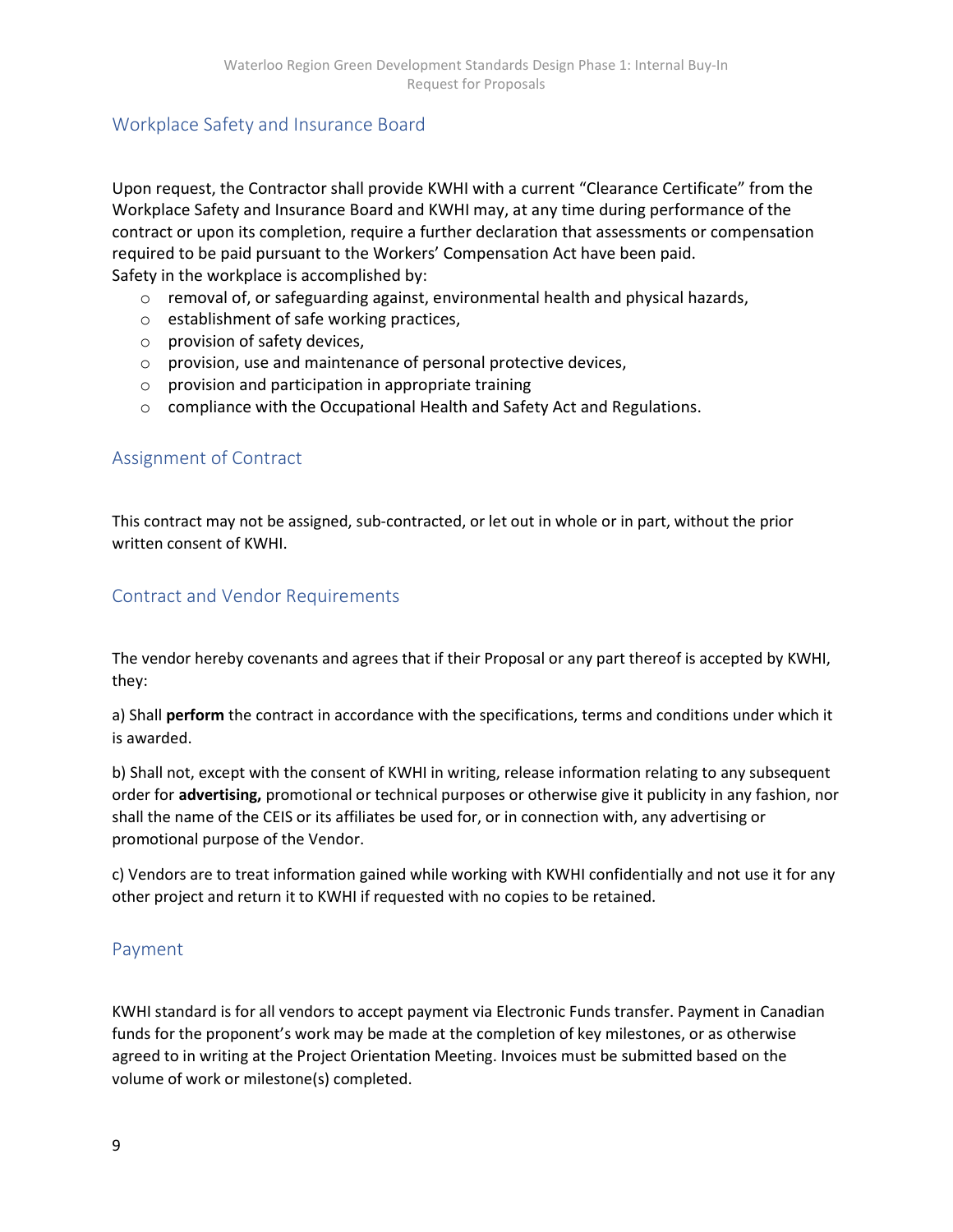## Workplace Safety and Insurance Board

Upon request, the Contractor shall provide KWHI with a current "Clearance Certificate" from the Workplace Safety and Insurance Board and KWHI may, at any time during performance of the contract or upon its completion, require a further declaration that assessments or compensation required to be paid pursuant to the Workers' Compensation Act have been paid. Safety in the workplace is accomplished by:

- $\circ$  removal of, or safeguarding against, environmental health and physical hazards,
- o establishment of safe working practices,
- o provision of safety devices,
- o provision, use and maintenance of personal protective devices,
- o provision and participation in appropriate training
- $\circ$  compliance with the Occupational Health and Safety Act and Regulations.

### Assignment of Contract

This contract may not be assigned, sub-contracted, or let out in whole or in part, without the prior written consent of KWHI.

#### Contract and Vendor Requirements

The vendor hereby covenants and agrees that if their Proposal or any part thereof is accepted by KWHI, they:

a) Shall perform the contract in accordance with the specifications, terms and conditions under which it is awarded.

b) Shall not, except with the consent of KWHI in writing, release information relating to any subsequent order for advertising, promotional or technical purposes or otherwise give it publicity in any fashion, nor shall the name of the CEIS or its affiliates be used for, or in connection with, any advertising or promotional purpose of the Vendor.

c) Vendors are to treat information gained while working with KWHI confidentially and not use it for any other project and return it to KWHI if requested with no copies to be retained.

#### Payment

KWHI standard is for all vendors to accept payment via Electronic Funds transfer. Payment in Canadian funds for the proponent's work may be made at the completion of key milestones, or as otherwise agreed to in writing at the Project Orientation Meeting. Invoices must be submitted based on the volume of work or milestone(s) completed.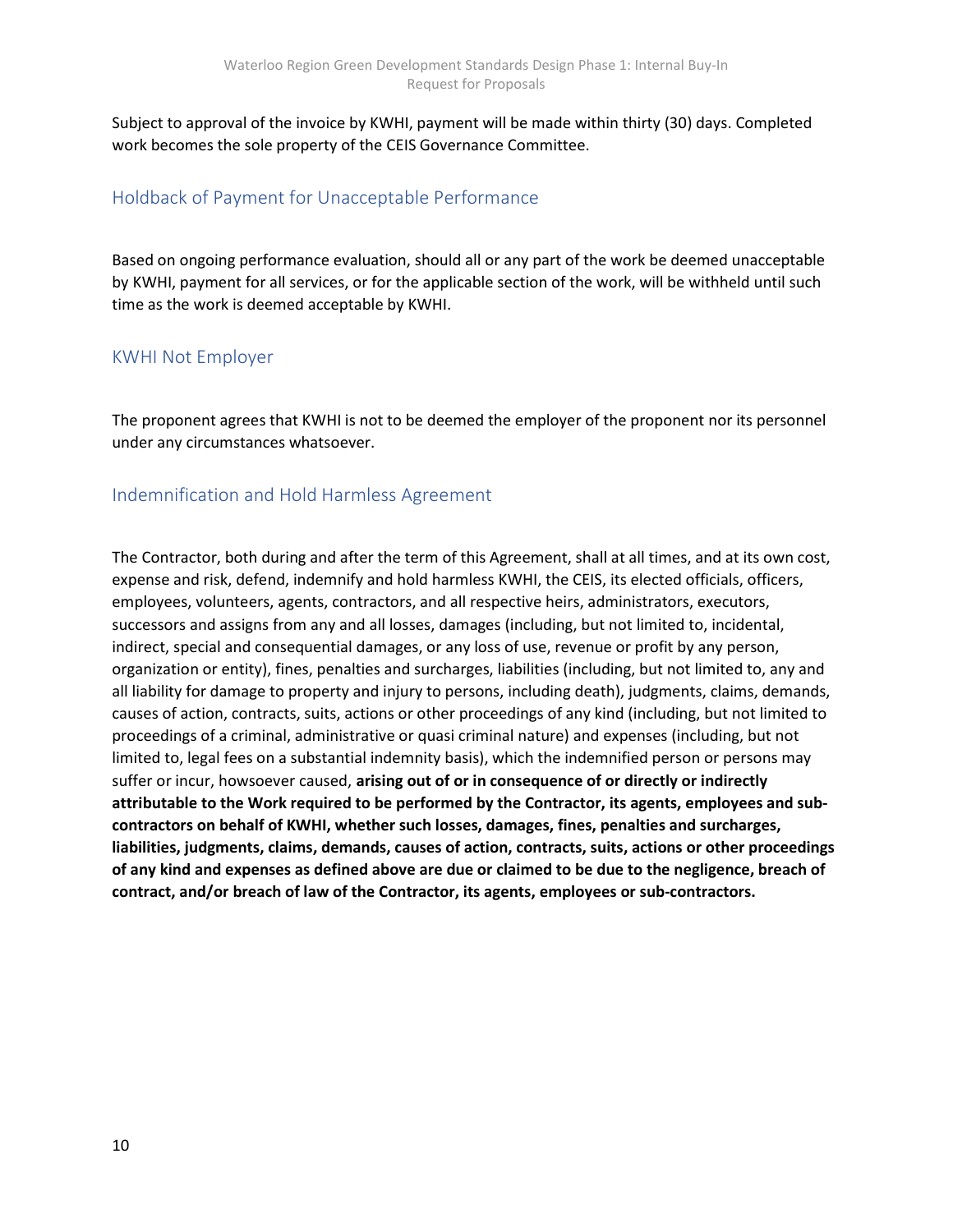Subject to approval of the invoice by KWHI, payment will be made within thirty (30) days. Completed work becomes the sole property of the CEIS Governance Committee.

## Holdback of Payment for Unacceptable Performance

Based on ongoing performance evaluation, should all or any part of the work be deemed unacceptable by KWHI, payment for all services, or for the applicable section of the work, will be withheld until such time as the work is deemed acceptable by KWHI.

### KWHI Not Employer

The proponent agrees that KWHI is not to be deemed the employer of the proponent nor its personnel under any circumstances whatsoever.

### Indemnification and Hold Harmless Agreement

The Contractor, both during and after the term of this Agreement, shall at all times, and at its own cost, expense and risk, defend, indemnify and hold harmless KWHI, the CEIS, its elected officials, officers, employees, volunteers, agents, contractors, and all respective heirs, administrators, executors, successors and assigns from any and all losses, damages (including, but not limited to, incidental, indirect, special and consequential damages, or any loss of use, revenue or profit by any person, organization or entity), fines, penalties and surcharges, liabilities (including, but not limited to, any and all liability for damage to property and injury to persons, including death), judgments, claims, demands, causes of action, contracts, suits, actions or other proceedings of any kind (including, but not limited to proceedings of a criminal, administrative or quasi criminal nature) and expenses (including, but not limited to, legal fees on a substantial indemnity basis), which the indemnified person or persons may suffer or incur, howsoever caused, arising out of or in consequence of or directly or indirectly attributable to the Work required to be performed by the Contractor, its agents, employees and subcontractors on behalf of KWHI, whether such losses, damages, fines, penalties and surcharges, liabilities, judgments, claims, demands, causes of action, contracts, suits, actions or other proceedings of any kind and expenses as defined above are due or claimed to be due to the negligence, breach of contract, and/or breach of law of the Contractor, its agents, employees or sub-contractors.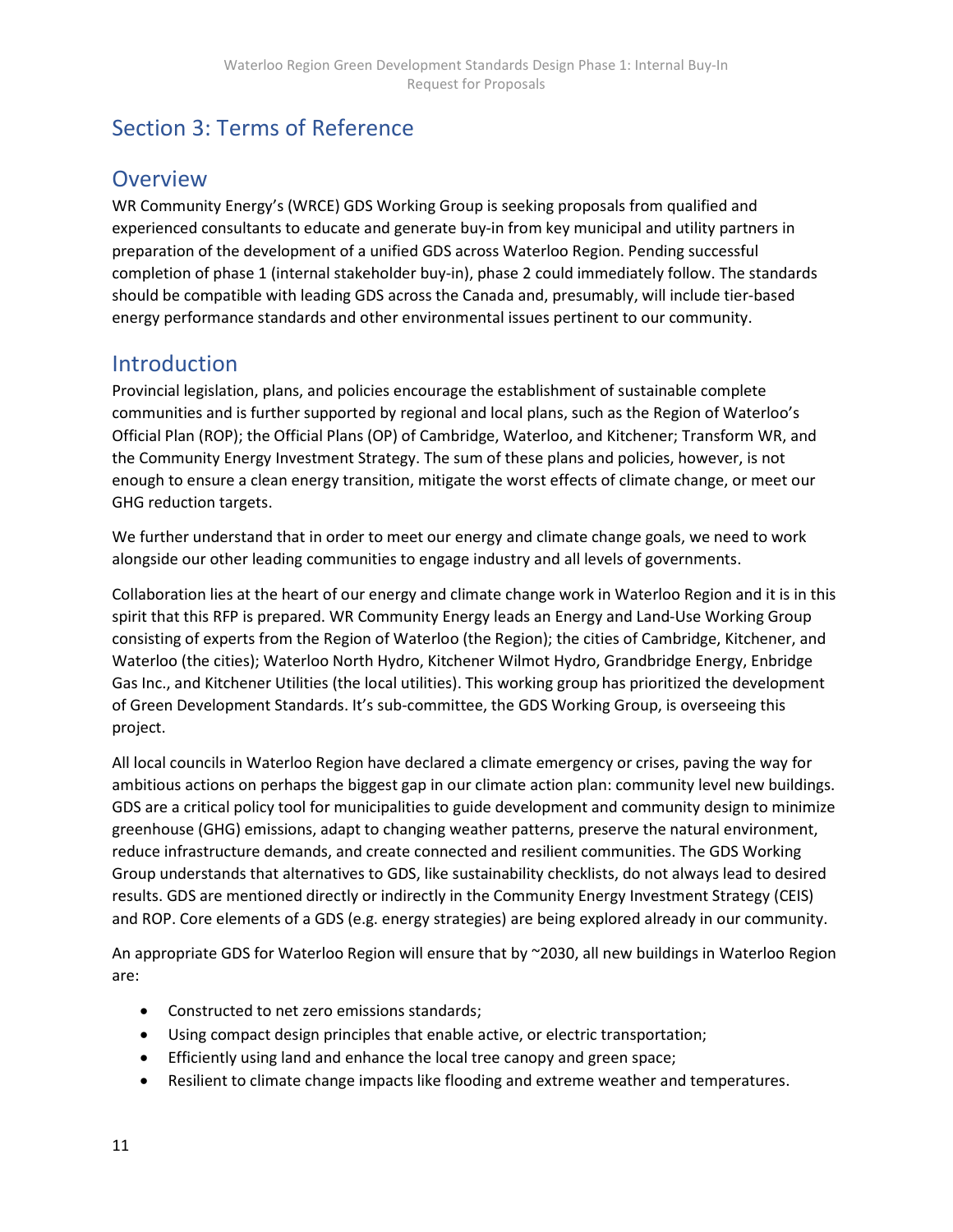# Section 3: Terms of Reference

## **Overview**

WR Community Energy's (WRCE) GDS Working Group is seeking proposals from qualified and experienced consultants to educate and generate buy-in from key municipal and utility partners in preparation of the development of a unified GDS across Waterloo Region. Pending successful completion of phase 1 (internal stakeholder buy-in), phase 2 could immediately follow. The standards should be compatible with leading GDS across the Canada and, presumably, will include tier-based energy performance standards and other environmental issues pertinent to our community.

## **Introduction**

Provincial legislation, plans, and policies encourage the establishment of sustainable complete communities and is further supported by regional and local plans, such as the Region of Waterloo's Official Plan (ROP); the Official Plans (OP) of Cambridge, Waterloo, and Kitchener; Transform WR, and the Community Energy Investment Strategy. The sum of these plans and policies, however, is not enough to ensure a clean energy transition, mitigate the worst effects of climate change, or meet our GHG reduction targets.

We further understand that in order to meet our energy and climate change goals, we need to work alongside our other leading communities to engage industry and all levels of governments.

Collaboration lies at the heart of our energy and climate change work in Waterloo Region and it is in this spirit that this RFP is prepared. WR Community Energy leads an Energy and Land-Use Working Group consisting of experts from the Region of Waterloo (the Region); the cities of Cambridge, Kitchener, and Waterloo (the cities); Waterloo North Hydro, Kitchener Wilmot Hydro, Grandbridge Energy, Enbridge Gas Inc., and Kitchener Utilities (the local utilities). This working group has prioritized the development of Green Development Standards. It's sub-committee, the GDS Working Group, is overseeing this project.

All local councils in Waterloo Region have declared a climate emergency or crises, paving the way for ambitious actions on perhaps the biggest gap in our climate action plan: community level new buildings. GDS are a critical policy tool for municipalities to guide development and community design to minimize greenhouse (GHG) emissions, adapt to changing weather patterns, preserve the natural environment, reduce infrastructure demands, and create connected and resilient communities. The GDS Working Group understands that alternatives to GDS, like sustainability checklists, do not always lead to desired results. GDS are mentioned directly or indirectly in the Community Energy Investment Strategy (CEIS) and ROP. Core elements of a GDS (e.g. energy strategies) are being explored already in our community.

An appropriate GDS for Waterloo Region will ensure that by ~2030, all new buildings in Waterloo Region are:

- Constructed to net zero emissions standards;
- Using compact design principles that enable active, or electric transportation;
- Efficiently using land and enhance the local tree canopy and green space;
- Resilient to climate change impacts like flooding and extreme weather and temperatures.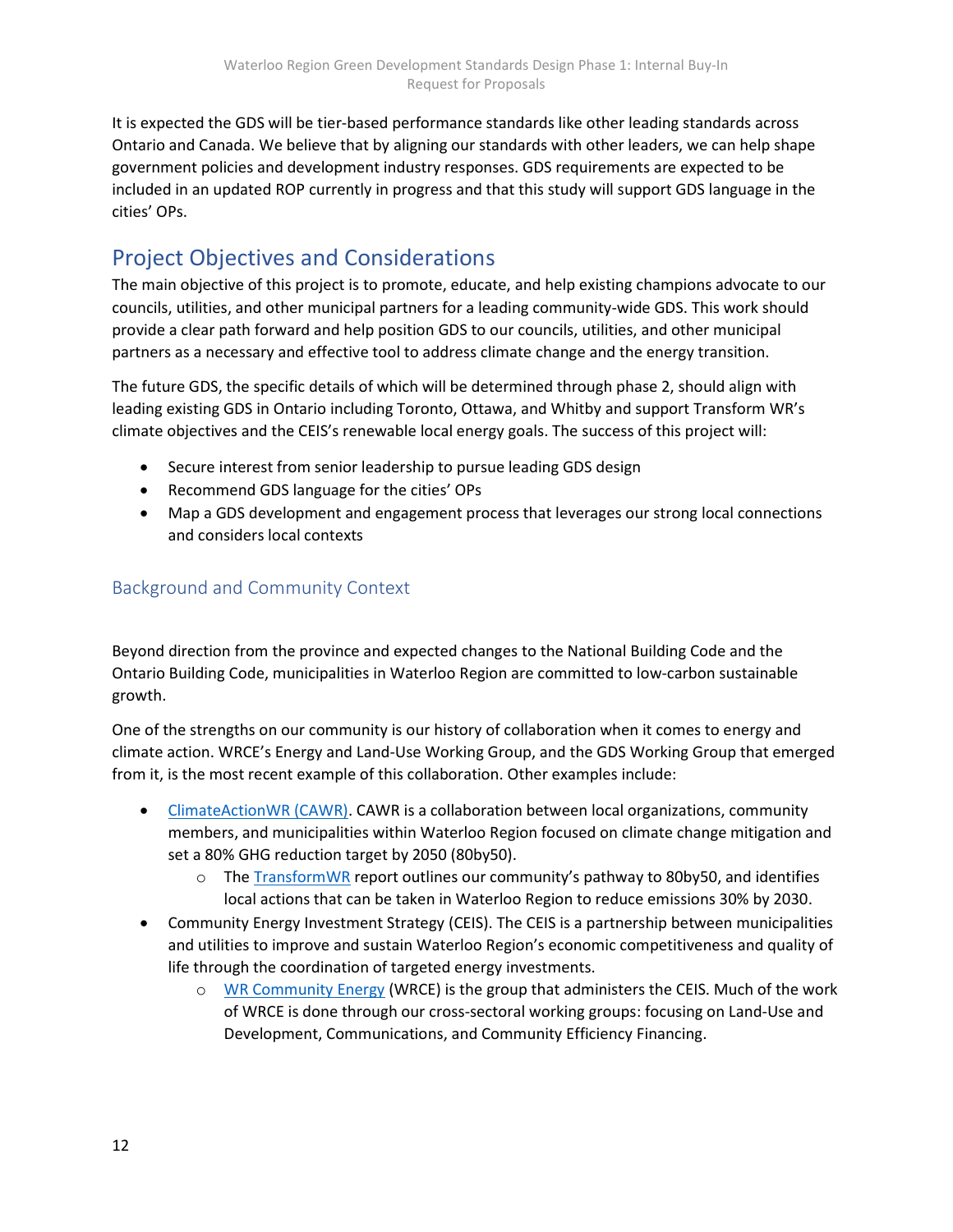It is expected the GDS will be tier-based performance standards like other leading standards across Ontario and Canada. We believe that by aligning our standards with other leaders, we can help shape government policies and development industry responses. GDS requirements are expected to be included in an updated ROP currently in progress and that this study will support GDS language in the cities' OPs.

## Project Objectives and Considerations

The main objective of this project is to promote, educate, and help existing champions advocate to our councils, utilities, and other municipal partners for a leading community-wide GDS. This work should provide a clear path forward and help position GDS to our councils, utilities, and other municipal partners as a necessary and effective tool to address climate change and the energy transition.

The future GDS, the specific details of which will be determined through phase 2, should align with leading existing GDS in Ontario including Toronto, Ottawa, and Whitby and support Transform WR's climate objectives and the CEIS's renewable local energy goals. The success of this project will:

- Secure interest from senior leadership to pursue leading GDS design
- Recommend GDS language for the cities' OPs
- Map a GDS development and engagement process that leverages our strong local connections and considers local contexts

## Background and Community Context

Beyond direction from the province and expected changes to the National Building Code and the Ontario Building Code, municipalities in Waterloo Region are committed to low-carbon sustainable growth.

One of the strengths on our community is our history of collaboration when it comes to energy and climate action. WRCE's Energy and Land-Use Working Group, and the GDS Working Group that emerged from it, is the most recent example of this collaboration. Other examples include:

- ClimateActionWR (CAWR). CAWR is a collaboration between local organizations, community members, and municipalities within Waterloo Region focused on climate change mitigation and set a 80% GHG reduction target by 2050 (80by50).
	- o The TransformWR report outlines our community's pathway to 80by50, and identifies local actions that can be taken in Waterloo Region to reduce emissions 30% by 2030.
- Community Energy Investment Strategy (CEIS). The CEIS is a partnership between municipalities and utilities to improve and sustain Waterloo Region's economic competitiveness and quality of life through the coordination of targeted energy investments.
	- o WR Community Energy (WRCE) is the group that administers the CEIS. Much of the work of WRCE is done through our cross-sectoral working groups: focusing on Land-Use and Development, Communications, and Community Efficiency Financing.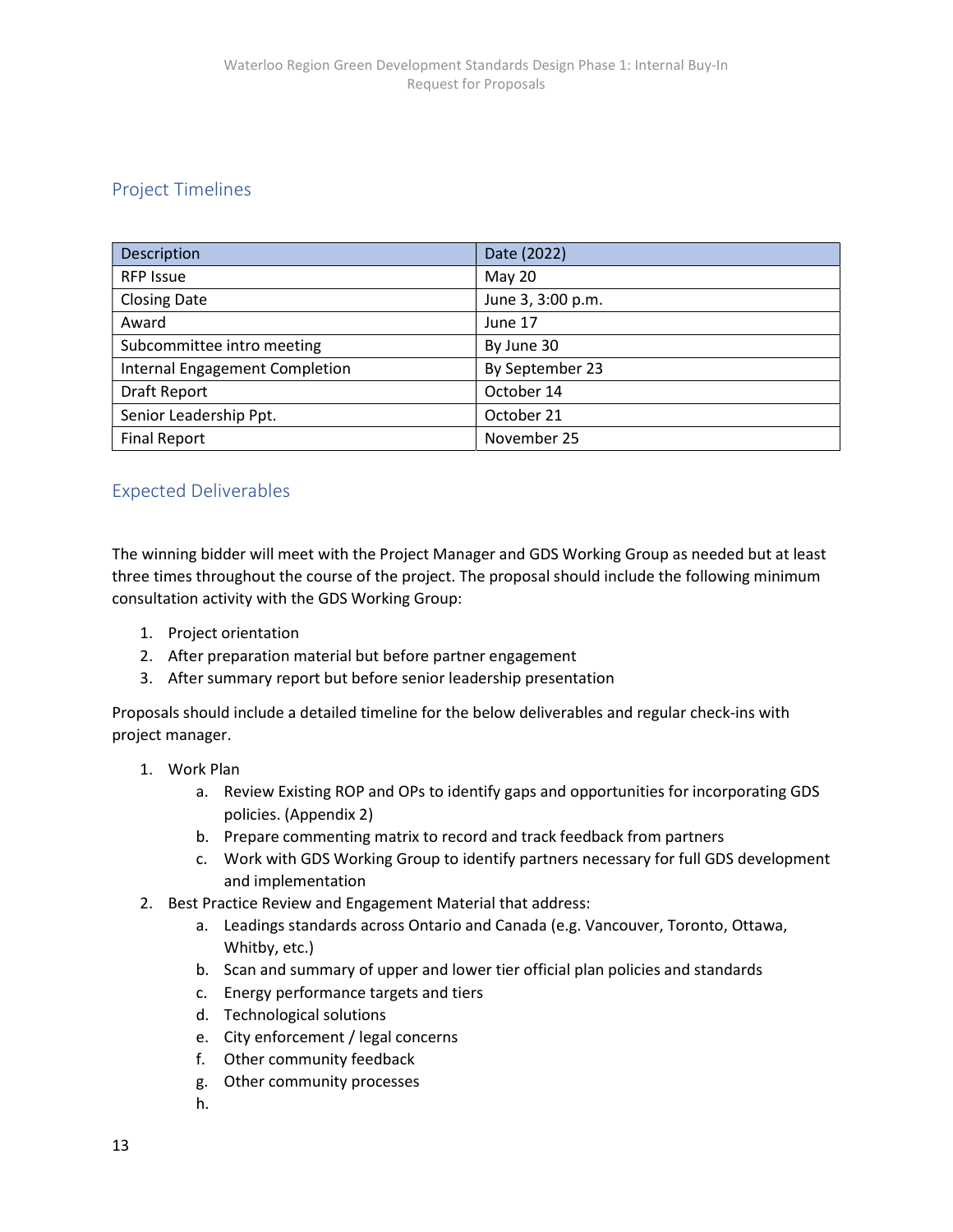## Project Timelines

| Description                    | Date (2022)       |
|--------------------------------|-------------------|
| <b>RFP Issue</b>               | <b>May 20</b>     |
| <b>Closing Date</b>            | June 3, 3:00 p.m. |
| Award                          | June 17           |
| Subcommittee intro meeting     | By June 30        |
| Internal Engagement Completion | By September 23   |
| <b>Draft Report</b>            | October 14        |
| Senior Leadership Ppt.         | October 21        |
| <b>Final Report</b>            | November 25       |

## Expected Deliverables

The winning bidder will meet with the Project Manager and GDS Working Group as needed but at least three times throughout the course of the project. The proposal should include the following minimum consultation activity with the GDS Working Group:

- 1. Project orientation
- 2. After preparation material but before partner engagement
- 3. After summary report but before senior leadership presentation

Proposals should include a detailed timeline for the below deliverables and regular check-ins with project manager.

- 1. Work Plan
	- a. Review Existing ROP and OPs to identify gaps and opportunities for incorporating GDS policies. (Appendix 2)
	- b. Prepare commenting matrix to record and track feedback from partners
	- c. Work with GDS Working Group to identify partners necessary for full GDS development and implementation
- 2. Best Practice Review and Engagement Material that address:
	- a. Leadings standards across Ontario and Canada (e.g. Vancouver, Toronto, Ottawa, Whitby, etc.)
	- b. Scan and summary of upper and lower tier official plan policies and standards
	- c. Energy performance targets and tiers
	- d. Technological solutions
	- e. City enforcement / legal concerns
	- f. Other community feedback
	- g. Other community processes
	- h.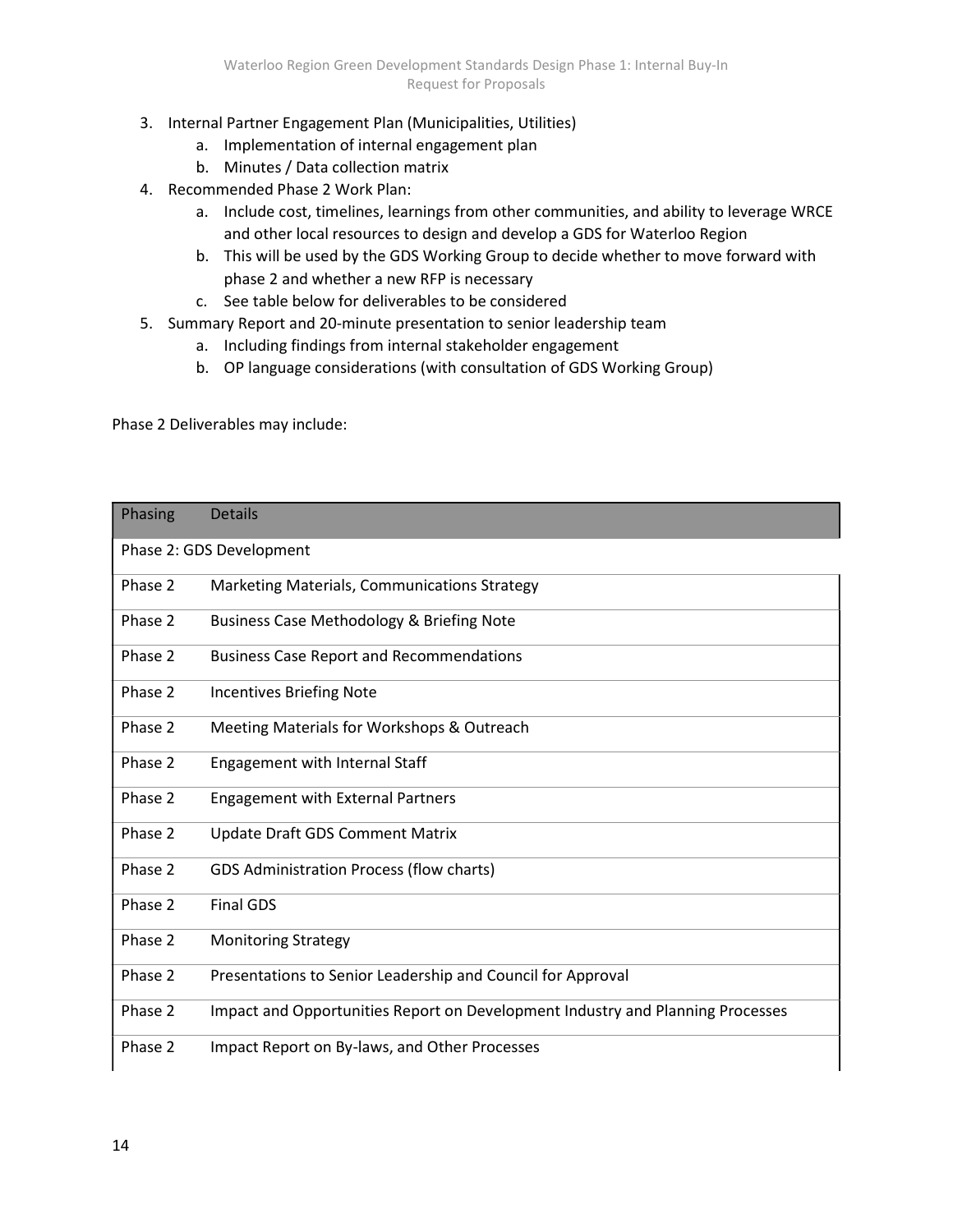- 3. Internal Partner Engagement Plan (Municipalities, Utilities)
	- a. Implementation of internal engagement plan
	- b. Minutes / Data collection matrix
- 4. Recommended Phase 2 Work Plan:
	- a. Include cost, timelines, learnings from other communities, and ability to leverage WRCE and other local resources to design and develop a GDS for Waterloo Region
	- b. This will be used by the GDS Working Group to decide whether to move forward with phase 2 and whether a new RFP is necessary
	- c. See table below for deliverables to be considered
- 5. Summary Report and 20-minute presentation to senior leadership team
	- a. Including findings from internal stakeholder engagement
	- b. OP language considerations (with consultation of GDS Working Group)

Phase 2 Deliverables may include:

| Phasing | <b>Details</b>                                                                 |
|---------|--------------------------------------------------------------------------------|
|         | Phase 2: GDS Development                                                       |
| Phase 2 | Marketing Materials, Communications Strategy                                   |
| Phase 2 | <b>Business Case Methodology &amp; Briefing Note</b>                           |
| Phase 2 | <b>Business Case Report and Recommendations</b>                                |
| Phase 2 | <b>Incentives Briefing Note</b>                                                |
| Phase 2 | Meeting Materials for Workshops & Outreach                                     |
| Phase 2 | Engagement with Internal Staff                                                 |
| Phase 2 | <b>Engagement with External Partners</b>                                       |
| Phase 2 | Update Draft GDS Comment Matrix                                                |
| Phase 2 | GDS Administration Process (flow charts)                                       |
| Phase 2 | <b>Final GDS</b>                                                               |
| Phase 2 | <b>Monitoring Strategy</b>                                                     |
| Phase 2 | Presentations to Senior Leadership and Council for Approval                    |
| Phase 2 | Impact and Opportunities Report on Development Industry and Planning Processes |
| Phase 2 | Impact Report on By-laws, and Other Processes                                  |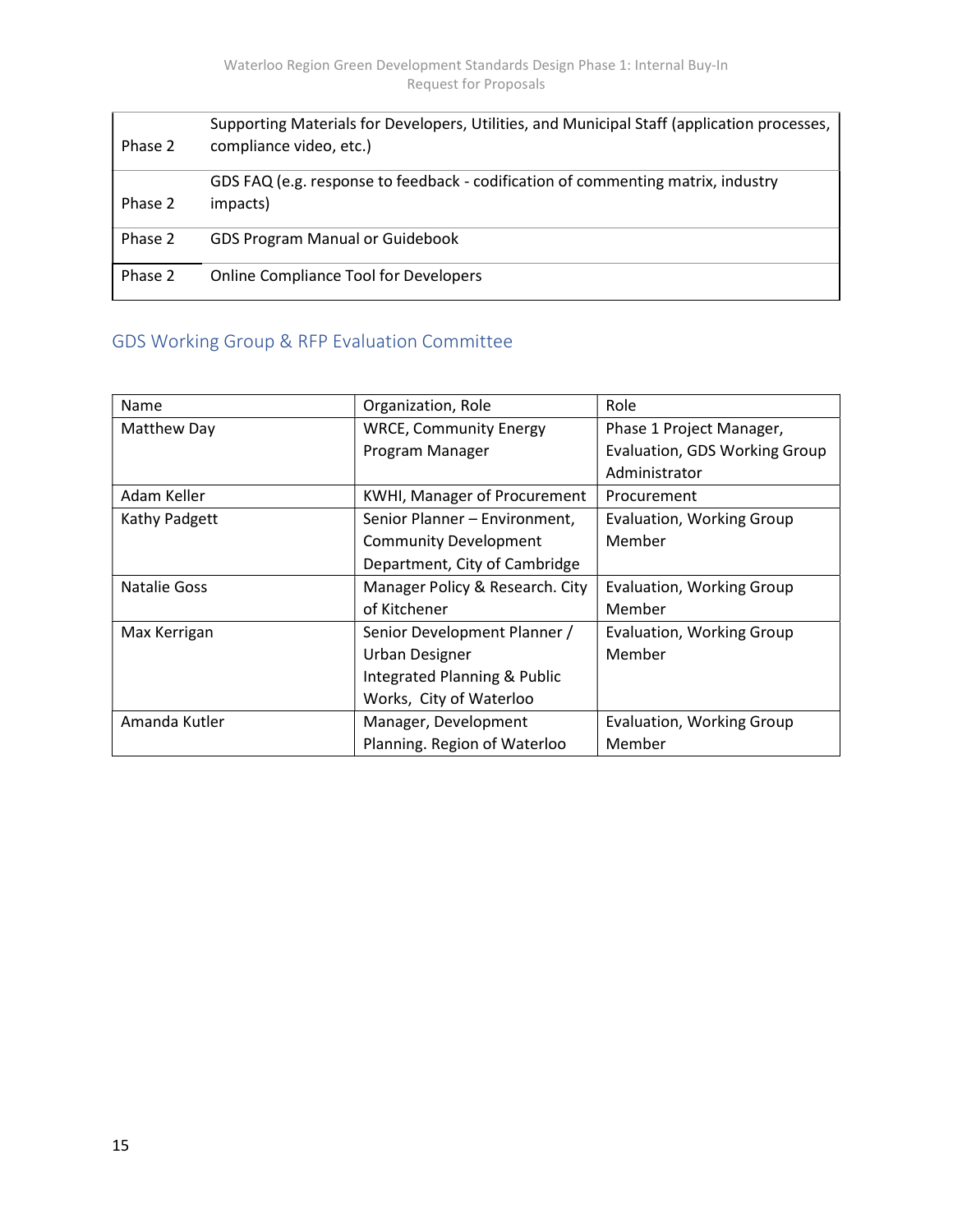| Phase 2 | Supporting Materials for Developers, Utilities, and Municipal Staff (application processes,<br>compliance video, etc.) |
|---------|------------------------------------------------------------------------------------------------------------------------|
| Phase 2 | GDS FAQ (e.g. response to feedback - codification of commenting matrix, industry<br>impacts)                           |
| Phase 2 | <b>GDS Program Manual or Guidebook</b>                                                                                 |
| Phase 2 | <b>Online Compliance Tool for Developers</b>                                                                           |

## GDS Working Group & RFP Evaluation Committee

| Name                | Organization, Role              | Role                          |
|---------------------|---------------------------------|-------------------------------|
| Matthew Day         | <b>WRCE, Community Energy</b>   | Phase 1 Project Manager,      |
|                     | Program Manager                 | Evaluation, GDS Working Group |
|                     |                                 | Administrator                 |
| Adam Keller         | KWHI, Manager of Procurement    | Procurement                   |
| Kathy Padgett       | Senior Planner - Environment,   | Evaluation, Working Group     |
|                     | <b>Community Development</b>    | Member                        |
|                     | Department, City of Cambridge   |                               |
| <b>Natalie Goss</b> | Manager Policy & Research. City | Evaluation, Working Group     |
|                     | of Kitchener                    | Member                        |
| Max Kerrigan        | Senior Development Planner /    | Evaluation, Working Group     |
|                     | <b>Urban Designer</b>           | Member                        |
|                     | Integrated Planning & Public    |                               |
|                     | Works, City of Waterloo         |                               |
| Amanda Kutler       | Manager, Development            | Evaluation, Working Group     |
|                     | Planning. Region of Waterloo    | Member                        |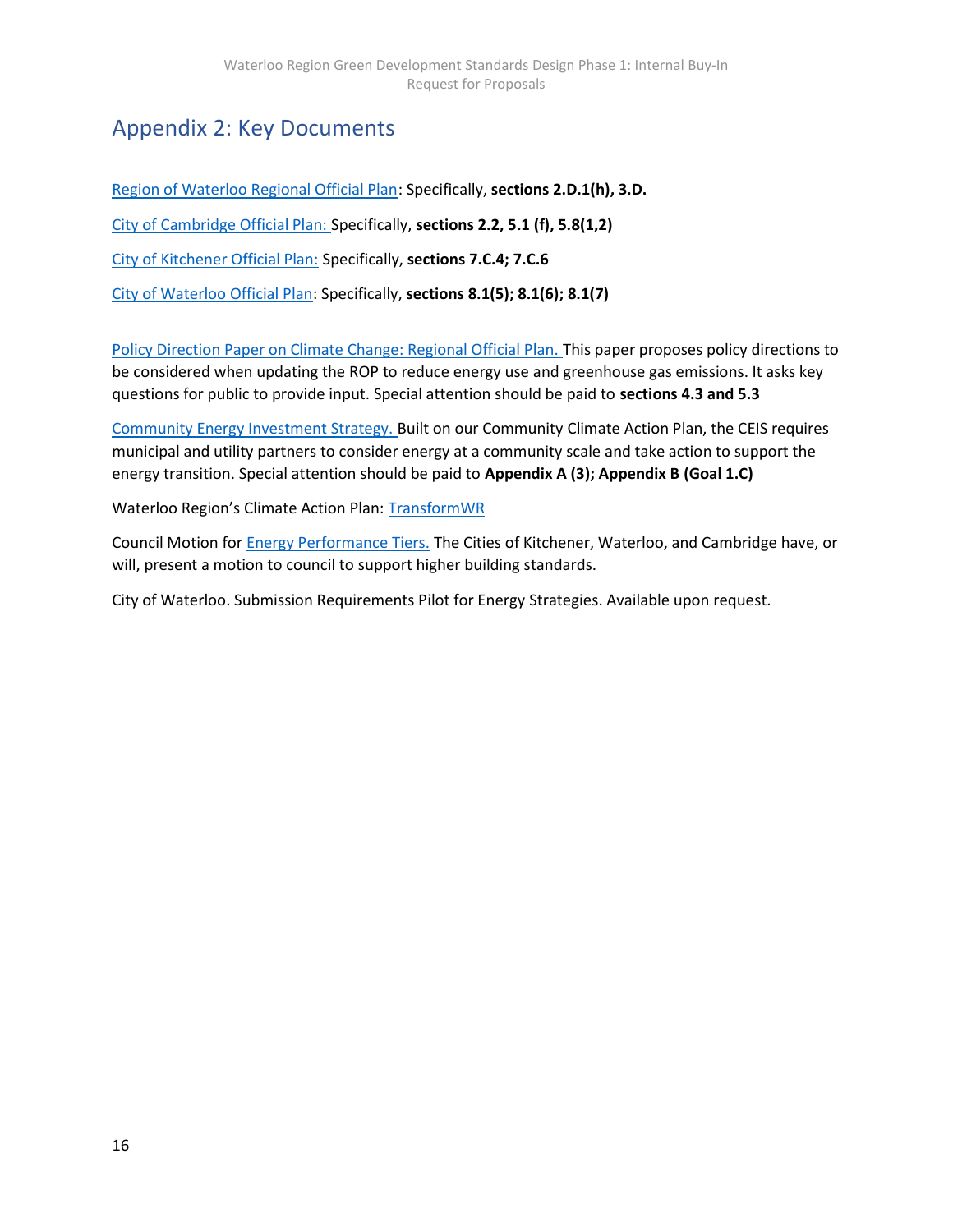# Appendix 2: Key Documents

Region of Waterloo Regional Official Plan: Specifically, sections 2.D.1(h), 3.D. City of Cambridge Official Plan: Specifically, sections 2.2, 5.1 (f), 5.8(1,2) City of Kitchener Official Plan: Specifically, sections 7.C.4; 7.C.6 City of Waterloo Official Plan: Specifically, sections 8.1(5); 8.1(6); 8.1(7)

Policy Direction Paper on Climate Change: Regional Official Plan. This paper proposes policy directions to be considered when updating the ROP to reduce energy use and greenhouse gas emissions. It asks key questions for public to provide input. Special attention should be paid to sections 4.3 and 5.3

Community Energy Investment Strategy. Built on our Community Climate Action Plan, the CEIS requires municipal and utility partners to consider energy at a community scale and take action to support the energy transition. Special attention should be paid to Appendix A (3); Appendix B (Goal 1.C)

Waterloo Region's Climate Action Plan: TransformWR

Council Motion for Energy Performance Tiers. The Cities of Kitchener, Waterloo, and Cambridge have, or will, present a motion to council to support higher building standards.

City of Waterloo. Submission Requirements Pilot for Energy Strategies. Available upon request.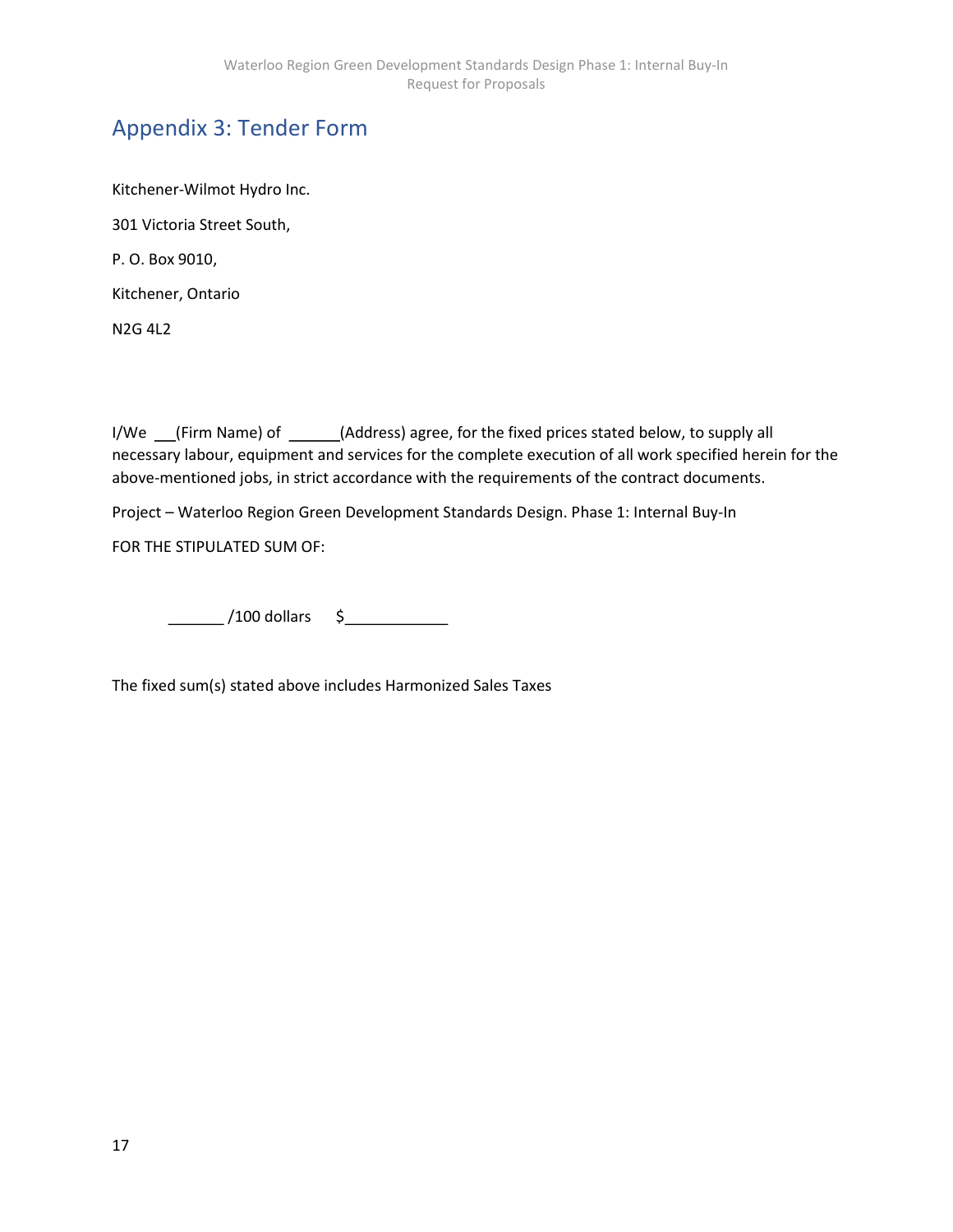# Appendix 3: Tender Form

Kitchener-Wilmot Hydro Inc. 301 Victoria Street South, P. O. Box 9010, Kitchener, Ontario N2G 4L2

I/We \_\_(Firm Name) of \_\_\_\_\_(Address) agree, for the fixed prices stated below, to supply all necessary labour, equipment and services for the complete execution of all work specified herein for the above-mentioned jobs, in strict accordance with the requirements of the contract documents.

Project – Waterloo Region Green Development Standards Design. Phase 1: Internal Buy-In

FOR THE STIPULATED SUM OF:

/100 dollars \$

The fixed sum(s) stated above includes Harmonized Sales Taxes